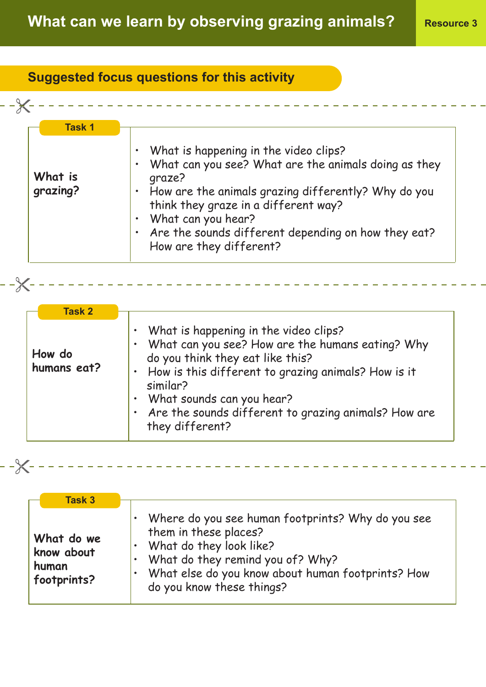## **Suggested focus questions for this activity**

| <b>Task 1</b>       |                                                                                               |
|---------------------|-----------------------------------------------------------------------------------------------|
| What is<br>grazing? | • What is happening in the video clips?                                                       |
|                     | • What can you see? What are the animals doing as they<br>qraze?                              |
|                     | • How are the animals grazing differently? Why do you<br>think they graze in a different way? |
|                     | What can you hear?                                                                            |
|                     | • Are the sounds different depending on how they eat?<br>How are they different?              |

| Task 2                |                                                                                                                                                                                                                                                                                                                               |
|-----------------------|-------------------------------------------------------------------------------------------------------------------------------------------------------------------------------------------------------------------------------------------------------------------------------------------------------------------------------|
| How do<br>humans eat? | • What is happening in the video clips?<br>What can you see? How are the humans eating? Why<br>$\bullet$<br>do you think they eat like this?<br>• How is this different to grazing animals? How is it<br>similar?<br>• What sounds can you hear?<br>. Are the sounds different to grazing animals? How are<br>they different? |

---------------------

\_\_\_\_\_\_\_\_\_\_\_\_\_\_\_\_\_\_\_\_\_\_

 $-\frac{2}{\sqrt{2}}$  - - - - - - -

- ----- --

| <b>Task 3</b>                                    |                                                                                                                                                                                                                                 |
|--------------------------------------------------|---------------------------------------------------------------------------------------------------------------------------------------------------------------------------------------------------------------------------------|
| What do we<br>know about<br>human<br>footprints? | Where do you see human footprints? Why do you see<br>them in these places?<br>• What do they look like?<br>• What do they remind you of? Why?<br>What else do you know about human footprints? How<br>do you know these things? |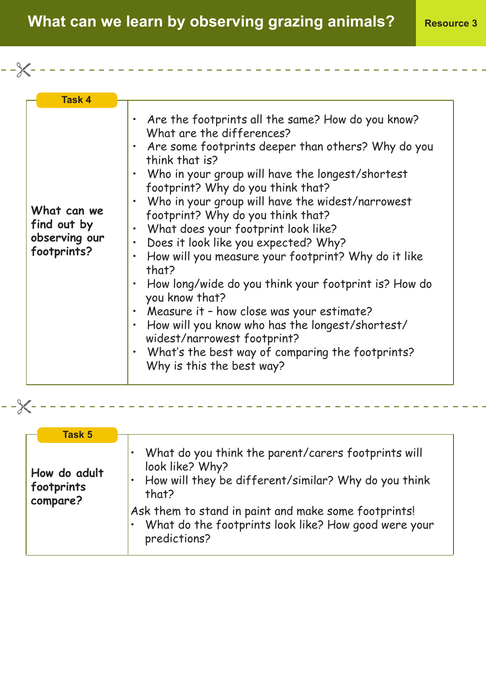**What can we learn by observing grazing animals?** Resource 3

| <b>Task 4</b>                                              |                                                                                                                                                                                                                                                                                                                                                                                                                                                                                                                                                                                                                                                                                                                                                                                                  |
|------------------------------------------------------------|--------------------------------------------------------------------------------------------------------------------------------------------------------------------------------------------------------------------------------------------------------------------------------------------------------------------------------------------------------------------------------------------------------------------------------------------------------------------------------------------------------------------------------------------------------------------------------------------------------------------------------------------------------------------------------------------------------------------------------------------------------------------------------------------------|
| What can we<br>find out by<br>observing our<br>footprints? | • Are the footprints all the same? How do you know?<br>What are the differences?<br>Are some footprints deeper than others? Why do you<br>think that is?<br>Who in your group will have the longest/shortest<br>footprint? Why do you think that?<br>Who in your group will have the widest/narrowest<br>footprint? Why do you think that?<br>What does your footprint look like?<br>Does it look like you expected? Why?<br>$\bullet$<br>How will you measure your footprint? Why do it like<br>that?<br>How long/wide do you think your footprint is? How do<br>you know that?<br>Measure it - how close was your estimate?<br>How will you know who has the longest/shortest/<br>widest/narrowest footprint?<br>What's the best way of comparing the footprints?<br>Why is this the best way? |

**How do adult footprints compare?** • What do you think the parent/carers footprints will look like? Why? • How will they be different/similar? Why do you think that? Ask them to stand in paint and make some footprints! • What do the footprints look like? How good were your predictions? **Task 5**

- -X-